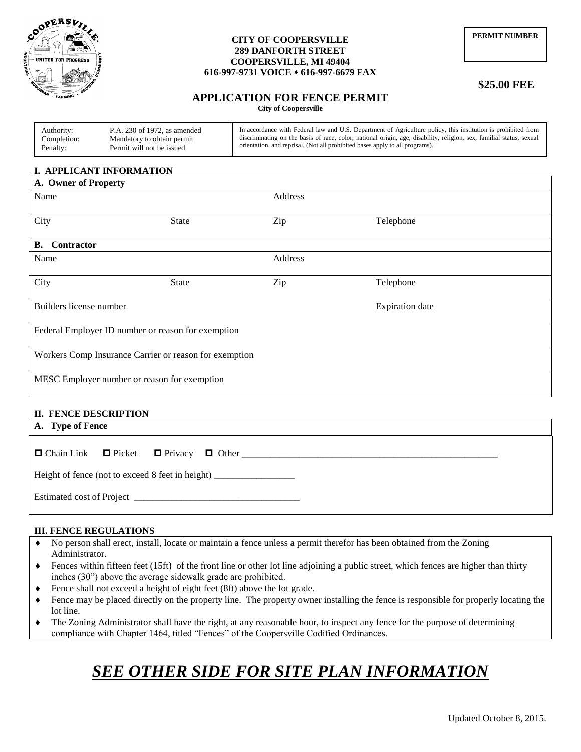

#### **CITY OF COOPERSVILLE 289 DANFORTH STREET COOPERSVILLE, MI 49404 616-997-9731 VOICE 616-997-6679 FAX**

# **\$25.00 FEE**

# **APPLICATION FOR FENCE PERMIT**

**City of Coopersville**

| Authority:  | P.A. 230 of 1972, as amended | In accordance with Federal law and U.S. Department of Agriculture policy, this institution is prohibited from        |
|-------------|------------------------------|----------------------------------------------------------------------------------------------------------------------|
| Completion: | Mandatory to obtain permit   | discriminating on the basis of race, color, national origin, age, disability, religion, sex, familial status, sexual |
| Penalty:    | Permit will not be issued    | orientation, and reprisal. (Not all prohibited bases apply to all programs).                                         |

## **I. APPLICANT INFORMATION**

| A. Owner of Property                                   |         |                        |  |  |  |  |  |  |  |
|--------------------------------------------------------|---------|------------------------|--|--|--|--|--|--|--|
|                                                        | Address |                        |  |  |  |  |  |  |  |
| State                                                  | Zip     | Telephone              |  |  |  |  |  |  |  |
|                                                        |         |                        |  |  |  |  |  |  |  |
|                                                        | Address |                        |  |  |  |  |  |  |  |
| <b>State</b>                                           | Zip     | Telephone              |  |  |  |  |  |  |  |
|                                                        |         | <b>Expiration</b> date |  |  |  |  |  |  |  |
| Federal Employer ID number or reason for exemption     |         |                        |  |  |  |  |  |  |  |
| Workers Comp Insurance Carrier or reason for exemption |         |                        |  |  |  |  |  |  |  |
| MESC Employer number or reason for exemption           |         |                        |  |  |  |  |  |  |  |
|                                                        |         |                        |  |  |  |  |  |  |  |

#### **II. FENCE DESCRIPTION**

| A. Type of Fence                                                                  |  |  |  |  |  |  |  |  |  |
|-----------------------------------------------------------------------------------|--|--|--|--|--|--|--|--|--|
|                                                                                   |  |  |  |  |  |  |  |  |  |
| Height of fence (not to exceed 8 feet in height) ________________________________ |  |  |  |  |  |  |  |  |  |
|                                                                                   |  |  |  |  |  |  |  |  |  |

### **III. FENCE REGULATIONS**

- No person shall erect, install, locate or maintain a fence unless a permit therefor has been obtained from the Zoning Administrator.
- $\bullet$  Fences within fifteen feet (15ft) of the front line or other lot line adjoining a public street, which fences are higher than thirty inches (30") above the average sidewalk grade are prohibited.
- Fence shall not exceed a height of eight feet (8ft) above the lot grade.
- Fence may be placed directly on the property line. The property owner installing the fence is responsible for properly locating the lot line.
- The Zoning Administrator shall have the right, at any reasonable hour, to inspect any fence for the purpose of determining compliance with Chapter 1464, titled "Fences" of the Coopersville Codified Ordinances.

# *SEE OTHER SIDE FOR SITE PLAN INFORMATION*